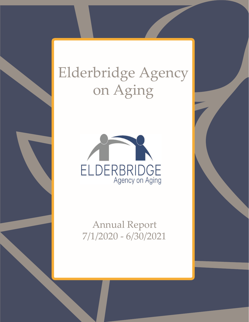# Elderbridge Agency on Aging



Annual Report 7/1/2020 - 6/30/2021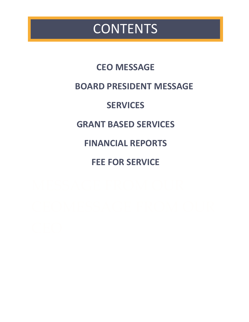## **CONTENTS**

**CEO MESSAGE BOARD PRESIDENT MESSAGE SERVICES GRANT BASED SERVICES FINANCIAL REPORTS FEE FOR SERVICE**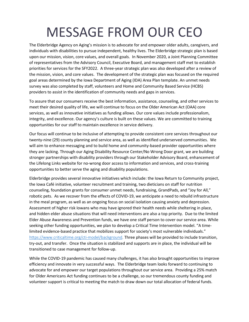# MESSAGE FROM OUR CEO

The Elderbridge Agency on Aging's mission is to advocate for and empower older adults, caregivers, and individuals with disabilities to pursue independent, healthy lives. The Elderbridge strategic plan is based upon our mission, vision, core values, and overall goals. In November 2020, a Joint Planning Committee of representatives from the Advisory Council, Executive Board, and management staff met to establish priorities for services for the SFY2022. A three-year strategic plan was also developed after a review of the mission, vision, and core values. The development of the strategic plan was focused on the required goal areas determined by the Iowa Department of Aging (IDA) Area Plan template. An unmet needs survey was also completed by staff, volunteers and Home and Community Based Service (HCBS) providers to assist in the identification of community needs and gaps in services.

To assure that our consumers receive the best information, assistance, counseling, and other services to meet their desired quality of life, we will continue to focus on the Older American Act (OAA) core services, as well as innovative initiatives as funding allows. Our core values include professionalism, integrity, and excellence. Our agency's culture is built on these values. We are committed to training opportunities for our staff to maintain excellence in service delivery.

Our focus will continue to be inclusive of attempting to provide consistent core services throughout our twenty-nine (29) county planning and service area, as well as identified underserved communities. We will aim to enhance messaging and to build home and community-based provider opportunities where they are lacking. Through our Aging Disability Resource Center/No Wrong Door grant, we are building stronger partnerships with disability providers through our Stakeholder Advisory Board, enhancement of the Lifelong Links website for no-wrong door access to information and services, and cross-training opportunities to better serve the aging and disability populations.

Elderbridge provides several innovative initiatives which include: the Iowa Return to Community project, the Iowa Café initiative, volunteer recruitment and training, two dieticians on staff for nutrition counseling, foundation grants for consumer unmet needs, fundraising, GrandPads, and "Joy for All," robotic pets. As we recover from the effects of COVID-19, we anticipate a need to rebuild infrastructure in the meal program, as well as an ongoing focus on social isolation causing anxiety and depression. Assessment of higher risk Iowans who may have ignored their health needs while sheltering in place, and hidden elder abuse situations that will need interventions are also a top priority. Due to the limited Elder Abuse Awareness and Prevention funds, we have one staff person to cover our service area. While seeking other funding opportunities, we plan to develop a Critical Time Intervention model. "A timelimited evidence-based practice that mobilizes support for society's most vulnerable individuals." [https://www.criticaltime.org/cti-model/background.](https://www.criticaltime.org/cti-model/background) Three phases will be provided to include transition, try-out, and transfer. Once the situation is stabilized and supports are in place, the individual will be transitioned to case management for follow-up.

While the COVID-19 pandemic has caused many challenges, it has also brought opportunities to improve efficiency and innovate in very successful ways. The Elderbridge team looks forward to continuing to advocate for and empower our target populations throughout our service area. Providing a 25% match for Older Americans Act funding continues to be a challenge, so our tremendous county funding and volunteer support is critical to meeting the match to draw down our total allocation of federal funds.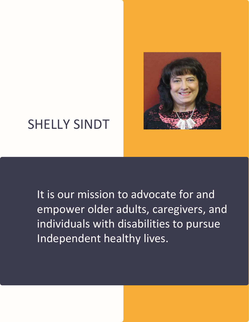

## SHELLY SINDT

It is our mission to advocate for and empower older adults, caregivers, and individuals with disabilities to pursue Independent healthy lives.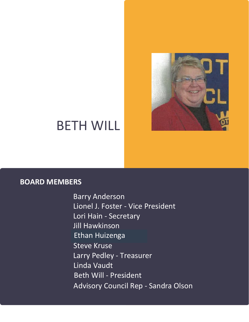

## BETH WILL

### **BOARD MEMBERS**

Barry Anderson Lionel J. Foster - Vice President Lori Hain - Secretary Jill Hawkinson Steve Kruse Larry Pedley - Treasurer Linda Vaudt Beth Will - President Advisory Council Rep - Sandra Olson Ethan Huizenga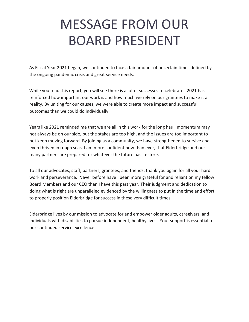# MESSAGE FROM OUR BOARD PRESIDENT

As Fiscal Year 2021 began, we continued to face a fair amount of uncertain times defined by the ongoing pandemic crisis and great service needs.

While you read this report, you will see there is a lot of successes to celebrate. 2021 has reinforced how important our work is and how much we rely on our grantees to make it a reality. By uniting for our causes, we were able to create more impact and successful outcomes than we could do individually.

Years like 2021 reminded me that we are all in this work for the long haul, momentum may not always be on our side, but the stakes are too high, and the issues are too important to not keep moving forward. By joining as a community, we have strengthened to survive and even thrived in rough seas. I am more confident now than ever, that Elderbridge and our many partners are prepared for whatever the future has in-store.

To all our advocates, staff, partners, grantees, and friends, thank you again for all your hard work and perseverance. Never before have I been more grateful for and reliant on my fellow Board Members and our CEO than I have this past year. Their judgment and dedication to doing what is right are unparalleled evidenced by the willingness to put in the time and effort to properly position Elderbridge for success in these very difficult times.

Elderbridge lives by our mission to advocate for and empower older adults, caregivers, and individuals with disabilities to pursue independent, healthy lives. Your support is essential to our continued service excellence.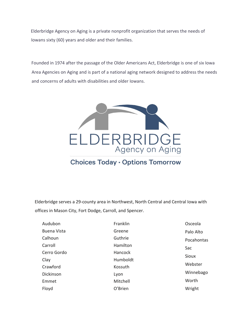Elderbridge Agency on Aging is a private nonprofit organization that serves the needs of Iowans sixty (60) years and older and their families.

Founded in 1974 after the passage of the Older Americans Act, Elderbridge is one of six Iowa Area Agencies on Aging and is part of a national aging network designed to address the needs and concerns of adults with disabilities and older Iowans.



Elderbridge serves a 29-county area in Northwest, North Central and Central Iowa with

offices in Mason City, Fort Dodge, Carroll, and Spencer.

| Audubon            | Franklin | Osceola      |
|--------------------|----------|--------------|
| <b>Buena Vista</b> | Greene   | Palo Alto    |
| Calhoun            | Guthrie  | Pocahontas   |
| Carroll            | Hamilton | Sac          |
| Cerro Gordo        | Hancock  | <b>Sioux</b> |
| Clay               | Humboldt |              |
| Crawford           | Kossuth  | Webster      |
| Dickinson          | Lyon     | Winnebago    |
| Emmet              | Mitchell | Worth        |
| Floyd              | O'Brien  | Wright       |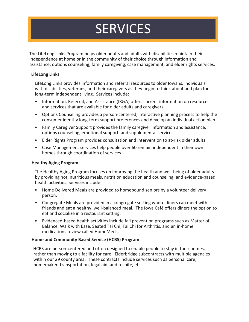# **SERVICES**

The LifeLong Links Program helps older adults and adults with disabilities maintain their independence at home or in the community of their choice through information and assistance, options counseling, family caregiving, case management, and elder rights services.

#### **LifeLong Links**

LifeLong Links provides information and referral resources to older Iowans, individuals with disabilities, veterans, and their caregivers as they begin to think about and plan for long-term independent living. Services include:

- Information, Referral, and Assistance (IR&A) offers current information on resources and services that are available for older adults and caregivers.
- Options Counseling provides a person-centered, interactive planning process to help the consumer identify long-term support preferences and develop an individual action plan.
- Family Caregiver Support provides the family caregiver information and assistance, options counseling, emotional support, and supplemental services.
- Elder Rights Program provides consultation and intervention to at-risk older adults.
- Case Management services help people over 60 remain independent in their own homes through coordination of services.

#### **Healthy Aging Program**

The Healthy Aging Program focuses on improving the health and well-being of older adults by providing hot, nutritious meals, nutrition education and counseling, and evidence-based health activities. Services include:

- Home Delivered Meals are provided to homebound seniors by a volunteer delivery person.
- Congregate Meals are provided in a congregate setting where diners can meet with friends and eat a healthy, well-balanced meal. The Iowa Café offers diners the option to eat and socialize in a restaurant setting.
- Evidenced-based health activities include fall prevention programs such as Matter of Balance, Walk with Ease, Seated Tai Chi, Tai Chi for Arthritis, and an in-home medications review called HomeMeds.

#### **Home and Community Based Service (HCBS) Program**

HCBS are person-centered and often designed to enable people to stay in their homes, rather than moving to a facility for care. Elderbridge subcontracts with multiple agencies within our 29 county area. These contracts include services such as personal care, homemaker, transportation, legal aid, and respite, etc.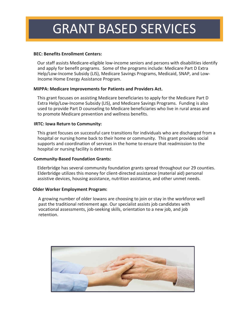## GRANT BASED SERVICES

#### **BEC: Benefits Enrollment Centers:**

Our staff assists Medicare-eligible low-income seniors and persons with disabilities identify and apply for benefit programs. Some of the programs include: Medicare Part D Extra Help/Low-Income Subsidy (LIS), Medicare Savings Programs, Medicaid, SNAP, and Low-Income Home Energy Assistance Program.

#### **MIPPA: Medicare Improvements for Patients and Providers Act.**

This grant focuses on assisting Medicare beneficiaries to apply for the Medicare Part D Extra Help/Low-Income Subsidy (LIS), and Medicare Savings Programs. Funding is also used to provide Part D counseling to Medicare beneficiaries who live in rural areas and to promote Medicare prevention and wellness benefits.

#### **IRTC: Iowa Return to Community:**

This grant focuses on successful care transitions for individuals who are discharged from a hospital or nursing home back to their home or community. This grant provides social supports and coordination of services in the home to ensure that readmission to the hospital or nursing facility is deterred.

#### **Community-Based Foundation Grants:**

Elderbridge has several community foundation grants spread throughout our 29 counties. Elderbridge utilizes this money for client-directed assistance (material aid) personal assistive devices, housing assistance, nutrition assistance, and other unmet needs.

#### **Older Worker Employment Program:**

A growing number of older Iowans are choosing to join or stay in the workforce well past the traditional retirement age. Our specialist assists job candidates with vocational assessments, job-seeking skills, orientation to a new job, and job retention.

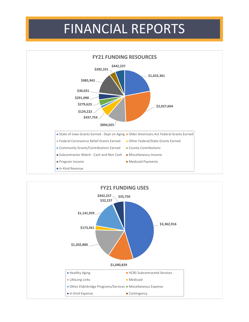## FINANCIAL REPORTS



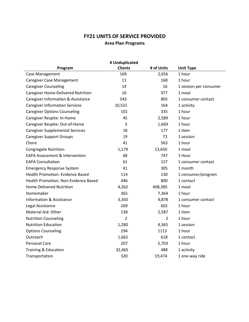### **FY21 UNITS OF SERVICE PROVIDED Area Plan Programs**

| # Unduplicated                                |                |                |                        |  |
|-----------------------------------------------|----------------|----------------|------------------------|--|
| Program                                       | <b>Clients</b> | # of Units     | <b>Unit Type</b>       |  |
| Case Management                               | 169            | 2,656          | 1 hour                 |  |
| <b>Caregiver Case Management</b>              | 11             | 168            | 1 hour                 |  |
| <b>Caregiver Counseling</b>                   | 14             | 16             | 1 session per consumer |  |
| Caregiver Home-Delivered Nutrition            | 10             | 977            | 1 meal                 |  |
| <b>Caregiver Information &amp; Assistance</b> | 543            | 805            | 1 consumer contact     |  |
| <b>Caregiver Information Services</b>         | 10,531         | 164            | 1 activity             |  |
| <b>Caregiver Options Counseling</b>           | 101            | 335            | 1 hour                 |  |
| Caregiver Respite: In-Home                    | 45             | 2,589          | 1 hour                 |  |
| Caregiver Respite: Out-of-Home                | 3              | 1,669          | 1 hour                 |  |
| <b>Caregiver Supplemental Services</b>        | 18             | 177            | 1 item                 |  |
| <b>Caregiver Support Groups</b>               | 19             | 72             | 1 session              |  |
| Chore                                         | 41             | 563            | 1 hour                 |  |
| <b>Congregate Nutrition</b>                   | 1,179          | 13,650         | 1 meal                 |  |
| <b>EAPA Assessment &amp; Intervention</b>     | 68             | 747            | 1 Hour                 |  |
| <b>EAPA Consultation</b>                      | 61             | 127            | 1 consumer contact     |  |
| <b>Emergency Response System</b>              | 41             | 305            | 1 month                |  |
| Health Promotion: Evidence Based              | 114            | 130            | 1 consumer/program     |  |
| Health Promotion: Non-Evidence Based          | 446            | 800            | 1 contact              |  |
| <b>Home Delivered Nutrition</b>               | 4,262          | 408,385        | 1 meal                 |  |
| Homemaker                                     | 365            | 7,364          | 1 hour                 |  |
| <b>Information &amp; Assistance</b>           | 3,350          | 4,878          | 1 consumer contact     |  |
| Legal Assistance                              | 269            | 602            | 1 hour                 |  |
| Material Aid: Other                           | 138            | 2,587          | 1 item                 |  |
| <b>Nutrition Counseling</b>                   | $\overline{2}$ | $\overline{2}$ | 1 hour                 |  |
| <b>Nutrition Education</b>                    | 1,280          | 4,365          | 1 session              |  |
| <b>Options Counseling</b>                     | 294            | 1113           | 1 hour                 |  |
| Outreach                                      | 1,662          | 618            | 1 contact              |  |
| <b>Personal Care</b>                          | 207            | 5,703          | 1 hour                 |  |
| Training & Education                          | 32,465         | 488            | 1 activity             |  |
| Transportation                                | 320            | 19,474         | 1 one-way ride         |  |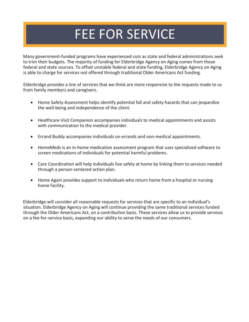## FEE FOR SERVICE

Many government-funded programs have experienced cuts as state and federal administrations seek to trim their budgets. The majority of funding for Elderbridge Agency on Aging comes from those federal and state sources. To offset unstable federal and state funding, Elderbridge Agency on Aging is able to charge for services not offered through traditional Older Americans Act funding.

Elderbridge provides a line of services that we think are more responsive to the requests made to us from family members and caregivers.

- Home Safety Assessment helps identify potential fall and safety hazards that can jeopardize the well-being and independence of the client.
- Healthcare Visit Companion accompanies individuals to medical appointments and assists with communication to the medical provider.
- Errand Buddy accompanies individuals on errands and non-medical appointments.
- HomeMeds is an in-home medication assessment program that uses specialized software to screen medications of individuals for potential harmful problems.
- Care Coordination will help individuals live safely at home by linking them to services needed through a person-centered action plan.
- Home Again provides support to individuals who return home from a hospital or nursing home facility.

Elderbridge will consider all reasonable requests for services that are specific to an individual's situation. Elderbridge Agency on Aging will continue providing the same traditional services funded through the Older Americans Act, on a contribution basis. These services allow us to provide services on a fee-for-service basis, expanding our ability to serve the needs of our consumers.